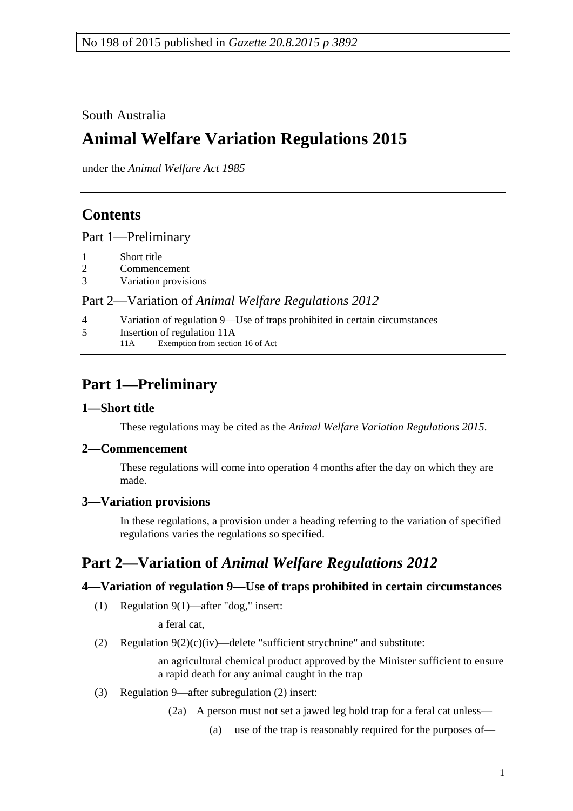South Australia

# **Animal Welfare Variation Regulations 2015**

under the *Animal Welfare Act 1985*

## **Contents**

Part [1—Preliminary](#page-0-0)

- 1 [Short title](#page-0-1)
- 2 [Commencement](#page-0-2)
- 3 [Variation provisions](#page-0-3)

### Part 2—Variation of *[Animal Welfare Regulations](#page-0-4) 2012*

- 4 [Variation of regulation 9—Use of traps prohibited in certain circumstances](#page-0-5)
- 5 [Insertion of regulation 11A](#page-1-0)<br>11A Exemption from section Exemption from section 16 of Act

## <span id="page-0-0"></span>**Part 1—Preliminary**

### <span id="page-0-1"></span>**1—Short title**

These regulations may be cited as the *Animal Welfare Variation Regulations 2015*.

### <span id="page-0-2"></span>**2—Commencement**

These regulations will come into operation 4 months after the day on which they are made.

### <span id="page-0-3"></span>**3—Variation provisions**

In these regulations, a provision under a heading referring to the variation of specified regulations varies the regulations so specified.

## <span id="page-0-4"></span>**Part 2—Variation of** *Animal Welfare Regulations 2012*

### <span id="page-0-5"></span>**4—Variation of regulation 9—Use of traps prohibited in certain circumstances**

(1) Regulation 9(1)—after "dog," insert:

a feral cat,

(2) Regulation  $9(2)(c)(iv)$ —delete "sufficient strychnine" and substitute:

an agricultural chemical product approved by the Minister sufficient to ensure a rapid death for any animal caught in the trap

- (3) Regulation 9—after subregulation (2) insert:
	- (2a) A person must not set a jawed leg hold trap for a feral cat unless—
		- (a) use of the trap is reasonably required for the purposes of—